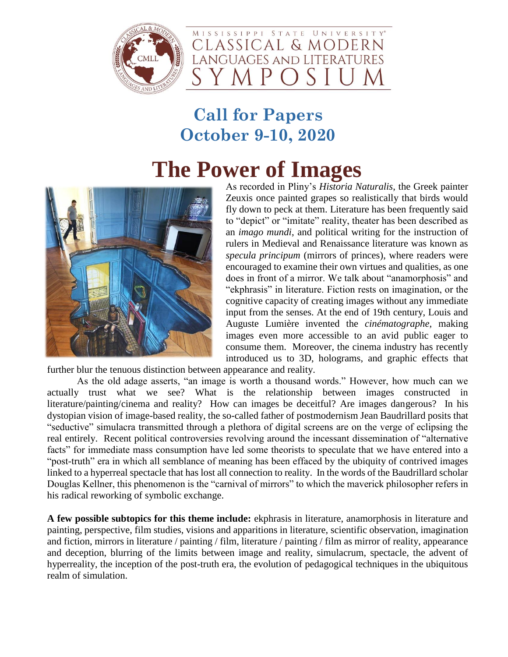

LANGUAGES AND LITERATURES

MISSISSIPPI STATE UNIVERSITY® CLASSICAL & MODERN

#### **Call for Papers October 9-10, 2020**

## **The Power of Images**



As recorded in Pliny's *Historia Naturalis*, the Greek painter Zeuxis once painted grapes so realistically that birds would fly down to peck at them. Literature has been frequently said to "depict" or "imitate" reality, theater has been described as an *imago mundi*, and political writing for the instruction of rulers in Medieval and Renaissance literature was known as *specula principum* (mirrors of princes), where readers were encouraged to examine their own virtues and qualities, as one does in front of a mirror. We talk about "anamorphosis" and "ekphrasis" in literature. Fiction rests on imagination, or the cognitive capacity of creating images without any immediate input from the senses. At the end of 19th century, Louis and Auguste Lumière invented the *cinématographe*, making images even more accessible to an avid public eager to consume them. Moreover, the cinema industry has recently introduced us to 3D, holograms, and graphic effects that

further blur the tenuous distinction between appearance and reality.

As the old adage asserts, "an image is worth a thousand words." However, how much can we actually trust what we see? What is the relationship between images constructed in literature/painting/cinema and reality? How can images be deceitful? Are images dangerous? In his dystopian vision of image-based reality, the so-called father of postmodernism Jean Baudrillard posits that "seductive" simulacra transmitted through a plethora of digital screens are on the verge of eclipsing the real entirely. Recent political controversies revolving around the incessant dissemination of "alternative facts" for immediate mass consumption have led some theorists to speculate that we have entered into a "post-truth" era in which all semblance of meaning has been effaced by the ubiquity of contrived images linked to a hyperreal spectacle that has lost all connection to reality. In the words of the Baudrillard scholar Douglas Kellner, this phenomenon is the "carnival of mirrors" to which the maverick philosopher refers in his radical reworking of symbolic exchange.

**A few possible subtopics for this theme include:** ekphrasis in literature, anamorphosis in literature and painting, perspective, film studies, visions and apparitions in literature, scientific observation, imagination and fiction, mirrors in literature / painting / film, literature / painting / film as mirror of reality, appearance and deception, blurring of the limits between image and reality, simulacrum, spectacle, the advent of hyperreality, the inception of the post-truth era, the evolution of pedagogical techniques in the ubiquitous realm of simulation.